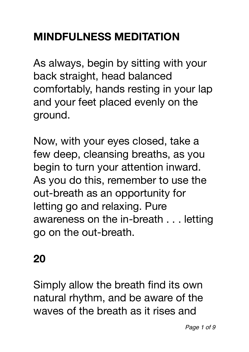# **MINDFULNESS MEDITATION**

As always, begin by sitting with your back straight, head balanced comfortably, hands resting in your lap and your feet placed evenly on the ground.

Now, with your eyes closed, take a few deep, cleansing breaths, as you begin to turn your attention inward. As you do this, remember to use the out-breath as an opportunity for letting go and relaxing. Pure awareness on the in-breath . . . letting go on the out-breath.

# **20**

Simply allow the breath find its own natural rhythm, and be aware of the waves of the breath as it rises and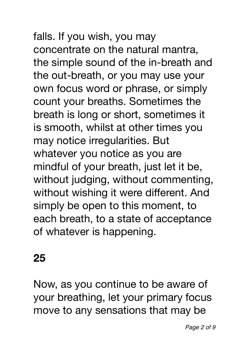falls. If you wish, you may concentrate on the natural mantra, the simple sound of the in-breath and the out-breath, or you may use your own focus word or phrase, or simply count your breaths. Sometimes the breath is long or short, sometimes it is smooth, whilst at other times you may notice irregularities. But whatever you notice as you are mindful of your breath, just let it be, without judging, without commenting, without wishing it were different. And simply be open to this moment, to each breath, to a state of acceptance of whatever is happening.

## **25**

Now, as you continue to be aware of your breathing, let your primary focus move to any sensations that may be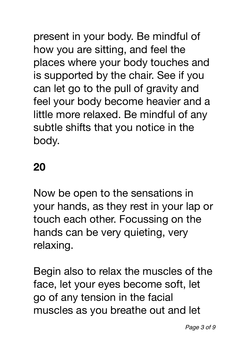present in your body. Be mindful of how you are sitting, and feel the places where your body touches and is supported by the chair. See if you can let go to the pull of gravity and feel your body become heavier and a little more relaxed. Be mindful of any subtle shifts that you notice in the body.

#### **20**

Now be open to the sensations in your hands, as they rest in your lap or touch each other. Focussing on the hands can be very quieting, very relaxing.

Begin also to relax the muscles of the face, let your eyes become soft, let go of any tension in the facial muscles as you breathe out and let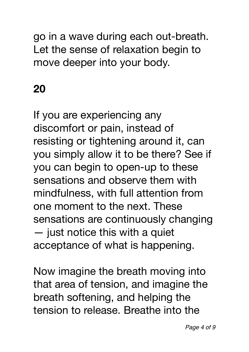go in a wave during each out-breath. Let the sense of relaxation begin to move deeper into your body.

## **20**

If you are experiencing any discomfort or pain, instead of resisting or tightening around it, can you simply allow it to be there? See if you can begin to open-up to these sensations and observe them with mindfulness, with full attention from one moment to the next. These sensations are continuously changing — just notice this with a quiet acceptance of what is happening.

Now imagine the breath moving into that area of tension, and imagine the breath softening, and helping the tension to release. Breathe into the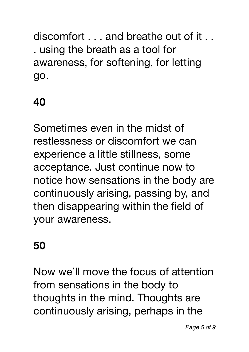discomfort . . . and breathe out of it . . . using the breath as a tool for awareness, for softening, for letting go.

### **40**

Sometimes even in the midst of restlessness or discomfort we can experience a little stillness, some acceptance. Just continue now to notice how sensations in the body are continuously arising, passing by, and then disappearing within the field of your awareness.

### **50**

Now we'll move the focus of attention from sensations in the body to thoughts in the mind. Thoughts are continuously arising, perhaps in the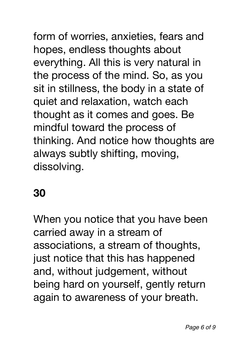form of worries, anxieties, fears and hopes, endless thoughts about everything. All this is very natural in the process of the mind. So, as you sit in stillness, the body in a state of quiet and relaxation, watch each thought as it comes and goes. Be mindful toward the process of thinking. And notice how thoughts are always subtly shifting, moving, dissolving.

### **30**

When you notice that you have been carried away in a stream of associations, a stream of thoughts, just notice that this has happened and, without judgement, without being hard on yourself, gently return again to awareness of your breath.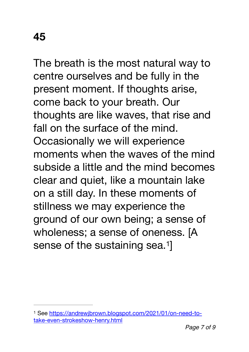The breath is the most natural way to centre ourselves and be fully in the present moment. If thoughts arise, come back to your breath. Our thoughts are like waves, that rise and fall on the surface of the mind. Occasionally we will experience moments when the waves of the mind subside a little and the mind becomes clear and quiet, like a mountain lake on a still day. In these moments of stillness we may experience the ground of our own being; a sense of wholeness; a sense of oneness. [A sense of the sustaining sea.<sup>[1](#page-6-0)</sup>

<span id="page-6-1"></span><span id="page-6-0"></span>[See https://andrewjbrown.blogspot.com/2021/01/on-need-to-](https://andrewjbrown.blogspot.com/2021/01/on-need-to-take-even-strokeshow-henry.html) [1](#page-6-1) [take-even-strokeshow-henry.html](https://andrewjbrown.blogspot.com/2021/01/on-need-to-take-even-strokeshow-henry.html)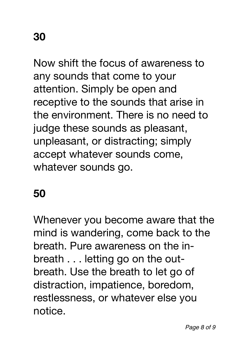Now shift the focus of awareness to any sounds that come to your attention. Simply be open and receptive to the sounds that arise in the environment. There is no need to judge these sounds as pleasant, unpleasant, or distracting; simply accept whatever sounds come, whatever sounds go.

#### **50**

Whenever you become aware that the mind is wandering, come back to the breath. Pure awareness on the inbreath . . . letting go on the outbreath. Use the breath to let go of distraction, impatience, boredom, restlessness, or whatever else you notice.